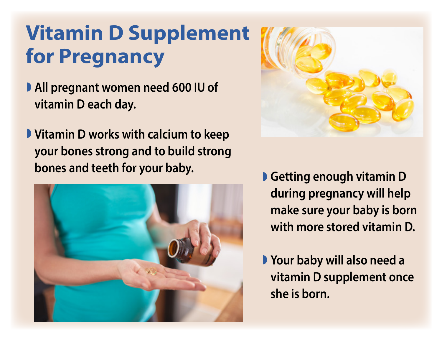## **Vitamin D Supplement for Pregnancy**

- **All pregnant women need 600 IU of vitamin D each day.**
- **Vitamin D works with calcium to keep your bones strong and to build strong bones and teeth for your baby.**





- **Getting enough vitamin D during pregnancy will help make sure your baby is born with more stored vitamin D.**
- **P** Your baby will also need a **vitamin D supplement once she is born.**